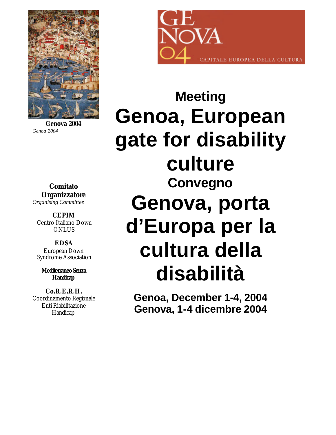

**Genova 2004** *Genoa 2004*

**Comitato Organizzatore** *Organising Committee*

**CEPIM**  Centro Italiano Down -ONLUS-

**EDSA**  European Down Syndrome Association

**Mediterraneo Senza Handicap**

**Co.R.E.R.H.** Coordinamento Regionale Enti Riabilitazione Handicap



**Meeting Genoa, European gate for disability culture Convegno Genova, porta d'Europa per la cultura della disabilità**

> **Genoa, December 1-4, 2004 Genova, 1-4 dicembre 2004**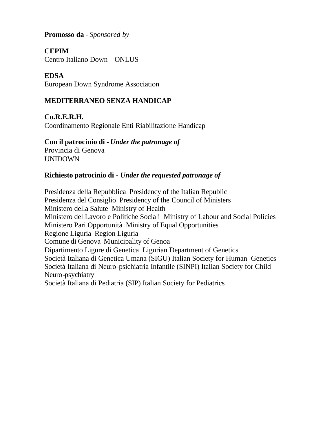**Promosso da -** *Sponsored by*

**CEPIM**

Centro Italiano Down – ONLUS

**EDSA** European Down Syndrome Association

# **MEDITERRANEO SENZA HANDICAP**

**Co.R.E.R.H.** Coordinamento Regionale Enti Riabilitazione Handicap

# **Con il patrocinio di -** *Under the patronage of*

Provincia di Genova UNIDOWN

# **Richiesto patrocinio di -** *Under the requested patronage of*

Presidenza della Repubblica Presidency of the Italian Republic Presidenza del Consiglio Presidency of the Council of Ministers Ministero della Salute Ministry of Health Ministero del Lavoro e Politiche Sociali Ministry of Labour and Social Policies Ministero Pari Opportunità Ministry of Equal Opportunities Regione Liguria Region Liguria Comune di Genova Municipality of Genoa Dipartimento Ligure di Genetica Ligurian Department of Genetics Società Italiana di Genetica Umana (SIGU) Italian Society for Human Genetics Società Italiana di Neuro-psichiatria Infantile (SINPI) Italian Society for Child Neuro-psychiatry Società Italiana di Pediatria (SIP) Italian Society for Pediatrics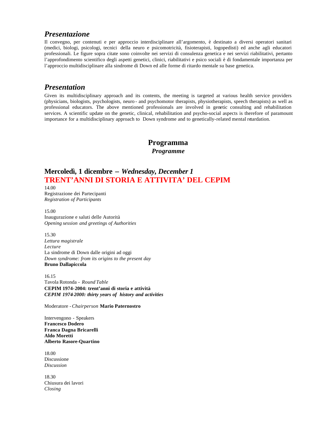#### *Presentazione*

Il convegno, per contenuti e per approccio interdisciplinare all'argomento, è destinato a diversi operatori sanitari (medici, biologi, psicologi, tecnici della neuro e psicomotricità, fisioterapisti, logopedisti) ed anche agli educatori professionali. Le figure sopra citate sono coinvolte nei servizi di consulenza genetica e nei servizi riabilitativi, pertanto l'approfondimento scientifico degli aspetti genetici, clinici, riabilitativi e psico sociali è di fondamentale importanza per l'approccio multidisciplinare alla sindrome di Down ed alle forme di ritardo mentale su base genetica.

### *Presentation*

Given its multidisciplinary approach and its contents, the meeting is targeted at various health service providers (physicians, biologists, psychologists, neuro - and psychomotor therapists, physiotherapists, speech therapists) as well as professional educators. The above mentioned professionals are involved in genetic consulting and rehabilitation services. A scientific update on the genetic, clinical, rehabilitation and psycho-social aspects is therefore of paramount importance for a multidisciplinary approach to Down syndrome and to genetically-related mental retardation.

#### **Programma**

*Programme*

# **Mercoledì, 1 dicembre –** *Wednesday, December 1* **TRENT'ANNI DI STORIA E ATTIVITA' DEL CEPIM**

14.00 Registrazione dei Partecipanti *Registration of Participants*

15.00 Inaugurazione e saluti delle Autorità *Opening session and greetings of Authorities*

15.30 *Lettura magistrale Lecture* La sindrome di Down dalle origini ad oggi *Down syndrome: from its origins to the present day* **Bruno Dallapiccola** 

16.15 Tavola Rotonda - *Round Table* **CEPIM 1974-2004: trent'anni di storia e attività** *CEPIM 1974-2000: thirty years of history and activities*

Moderatore -*Chairperson* **Mario Paternostro**

Intervengono - Speakers **Francesco Dodero Franca Dagna Bricarelli Aldo Moretti Alberto Rasore-Quartino**

18.00 Discussione *Discussion*

18.30 Chiusura dei lavori *Closing*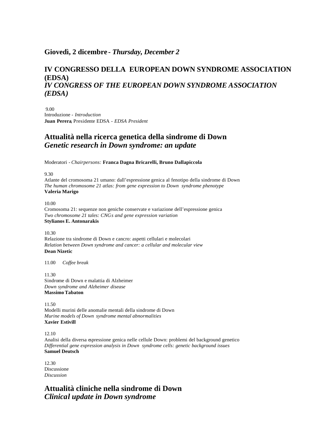#### **Giovedì, 2 dicembre -** *Thursday, December 2*

## **IV CONGRESSO DELLA EUROPEAN DOWN SYNDROME ASSOCIATION (EDSA)** *IV CONGRESS OF THE EUROPEAN DOWN SYNDROME ASSOCIATION (EDSA)*

9.00 Introduzione - *Introduction* **Juan Perera**, Presidente EDSA - *EDSA President*

## **Attualità nella ricerca genetica della sindrome di Down** *Genetic research in Down syndrome: an update*

Moderatori *- Chairpersons:* **Franca Dagna Bricarelli, Bruno Dallapiccola**

9.30

Atlante del cromosoma 21 umano: dall'espressione genica al fenotipo della sindrome di Down *The human chromosome 21 atlas: from gene expression to Down syndrome phenotype* **Valeria Marigo**

10.00

Cromosoma 21: sequenze non geniche conservate e variazione dell'espressione genica *Two chromosome 21 tales: CNGs and gene expression variation* **Stylianos E. Antonarakis** 

10.30 Relazione tra sindrome di Down e cancro: aspetti cellulari e molecolari *Relation between Down syndrome and cancer: a cellular and molecular view* **Dean Nizetic**

11.00 *Coffee break*

11.30 Sindrome di Down e malattia di Alzheimer *Down syndrome and Alzheimer disease* **Massimo Tabaton** 

11.50 Modelli murini delle anomalie mentali della sindrome di Down *Murine models of Down syndrome mental abnormalities* **Xavier Estivill** 

12.10

Analisi della diversa espressione genica nelle cellule Down: problemi del background genetico *Differential gene expression analysis in Down syndrome cells: genetic background issues* **Samuel Deutsch**

12.30 Discussione *Discussion*

**Attualità cliniche nella sindrome di Down** *Clinical update in Down syndrome*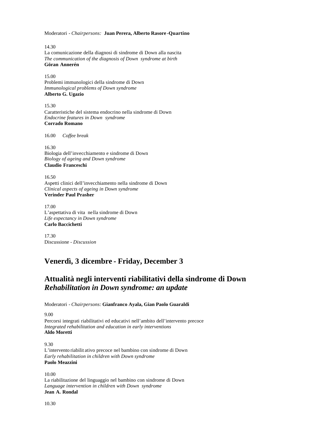Moderatori *- Chairpersons:* **Juan Perera, Alberto Rasore -Quartino**

14.30 La comunicazione della diagnosi di sindrome di Down alla nascita *The communication of the diagnosis of Down syndrome at birth* **Göran Annerén**

15.00 Problemi immunologici della sindrome di Down *Immunological problems of Down syndrome* **Alberto G. Ugazio** 

15.30 Caratteristiche del sistema endocrino nella sindrome di Down *Endocrine features in Down syndrome* **Corrado Romano** 

16.00 *Coffee break*

16.30 Biologia dell'invecchiamento e sindrome di Down *Biology of ageing and Down syndrome* **Claudio Franceschi** 

16.50 Aspetti clinici dell'invecchiamento nella sindrome di Down *Clinical aspects of ageing in Down syndrome* **Verinder Paul Prasher** 

17.00 L'aspettativa di vita nella sindrome di Down *Life expectancy in Down syndrome* **Carlo Baccichetti**

17.30 Discussione - *Discussion*

# **Venerdì, 3 dicembre - Friday, December 3**

# **Attualità negli interventi riabilitativi della sindrome di Down** *Rehabilitation in Down syndrome: an update*

Moderatori *- Chairpersons:* **Gianfranco Ayala, Gian Paolo Guaraldi**

9.00

Percorsi integrati riabilitativi ed educativi nell'ambito dell'intervento precoce *Integrated rehabilitation and education in early interventions* **Aldo Moretti**

9.30 L'intervento riabilit ativo precoce nel bambino con sindrome di Down *Early rehabilitation in children with Down syndrome* **Paolo Meazzini** 

10.00 La riabilitazione del linguaggio nel bambino con sindrome di Down *Language intervention in children with Down syndrome* **Jean A. Rondal**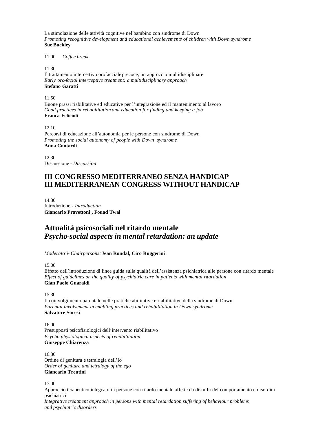La stimolazione delle attività cognitive nel bambino con sindrome di Down *Promoting recognitive development and educational achievements of children with Down syndrome* **Sue Buckley** 

11.00 *Coffee break*

11.30

Il trattamento intercettivo orofacciale precoce, un approccio multidisciplinare *Early oro-facial interceptive treatment: a multidisciplinary approach* **Stefano Garatti** 

11.50

Buone prassi riabilitative ed educative per l'integrazione ed il mantenimento al lavoro *Good practices in rehabilitation and education for finding and keeping a job* **Franca Felicioli**

12.10 Percorsi di educazione all'autonomia per le persone con sindrome di Down *Promoting the social autonomy of people with Down syndrome* **Anna Contardi**

12.30 Discussione - *Discussion*

## **III CONGRESSO MEDITERRANEO SENZA HANDICAP III MEDITERRANEAN CONGRESS WITHOUT HANDICAP**

14.30 Introduzione - *Introduction* **Giancarlo Pravettoni , Fouad Twal** 

# **Attualità psicosociali nel ritardo mentale** *Psycho-social aspects in mental retardation: an update*

*Moderatori- Chairpersons:* **Jean Rondal, Ciro Ruggerini**

15.00

Effetto dell'introduzione di linee guida sulla qualità dell'assistenza psichiatrica alle persone con ritardo mentale *Effect of guidelines on the quality of psychiatric care in patients with mental retardation* **Gian Paolo Guaraldi** 

15.30

Il coinvolgimento parentale nelle pratiche abilitative e riabilitative della sindrome di Down *Parental involvement in enabling practices and rehabilitation in Down syndrome* **Salvatore Soresi** 

16.00 Presupposti psicofisiologici dell'intervento riabilitativo *Psycho-physiological aspects of rehabilitation* **Giuseppe Chiarenza** 

16.30 Ordine di genitura e tetralogia dell'Io *Order of geniture and tetralogy of the ego* **Giancarlo Trentini** 

17.00

Approccio terapeutico integr ato in persone con ritardo mentale affette da disturbi del comportamento e disordini psichiatrici *Integrative treatment approach in persons with mental retardation suffering of behaviour problems and psychiatric disorders*